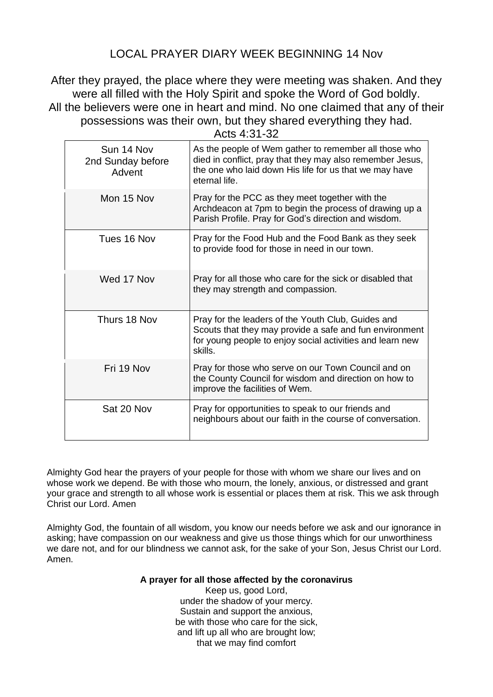## LOCAL PRAYER DIARY WEEK BEGINNING 14 Nov

After they prayed, the place where they were meeting was shaken. And they were all filled with the Holy Spirit and spoke the Word of God boldly. All the believers were one in heart and mind. No one claimed that any of their possessions was their own, but they shared everything they had. Acts 4:31-32

| As the people of Wem gather to remember all those who<br>died in conflict, pray that they may also remember Jesus,<br>the one who laid down His life for us that we may have |
|------------------------------------------------------------------------------------------------------------------------------------------------------------------------------|
|                                                                                                                                                                              |
| Archdeacon at 7pm to begin the process of drawing up a<br>Parish Profile. Pray for God's direction and wisdom.                                                               |
| Pray for the Food Hub and the Food Bank as they seek                                                                                                                         |
| Pray for all those who care for the sick or disabled that                                                                                                                    |
| Scouts that they may provide a safe and fun environment<br>for young people to enjoy social activities and learn new                                                         |
| Pray for those who serve on our Town Council and on<br>the County Council for wisdom and direction on how to                                                                 |
| neighbours about our faith in the course of conversation.                                                                                                                    |
| Pray for the leaders of the Youth Club, Guides and                                                                                                                           |

Almighty God hear the prayers of your people for those with whom we share our lives and on whose work we depend. Be with those who mourn, the lonely, anxious, or distressed and grant your grace and strength to all whose work is essential or places them at risk. This we ask through Christ our Lord. Amen

Almighty God, the fountain of all wisdom, you know our needs before we ask and our ignorance in asking; have compassion on our weakness and give us those things which for our unworthiness we dare not, and for our blindness we cannot ask, for the sake of your Son, Jesus Christ our Lord. Amen.

## **A prayer for all those affected by the coronavirus**

Keep us, good Lord, under the shadow of your mercy. Sustain and support the anxious, be with those who care for the sick, and lift up all who are brought low; that we may find comfort